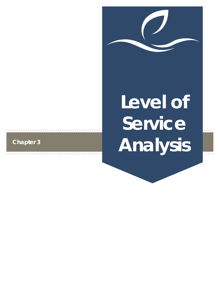

# **Level of Service Analysis**

# **Chapter 3**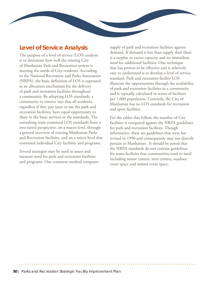## **Level of Service Analysis**

The purpose of a level of service (LOS) analysis is to determine how well the existing City of Manhattan Park and Recreation system is meeting the needs of City residents. According to the National Recreation and Parks Association (NRPA), the basic definition of LOS is expressed as an allocation mechanism for the delivery of park and recreation facilities throughout a community. By adopting LOS standards, a community in essence says that all residents, regardless if they pay taxes or use the park and recreation facilities, have equal opportunity to share in the basic services in the standards. The consulting team examined LOS standards from a two-tiered perspective: on a macro level, through a general overview of existing Manhattan Parks and Recreation facilities, and on a micro level that examined individual City facilities and programs.

Several strategies may be used to assess and measure need for park and recreation facilities and programs. One common method compares supply of park and recreation facilities against demand. If demand is less than supply then there is a surplus or excess capacity and no immediate need for additional facilities. One technique that has proven to be effective and is relatively easy to understand is to develop a level of service standard. Park and recreation facility LOS illustrate the opportunities through the availability of park and recreation facilities in a community and is typically calculated in terms of facilities per 1,000 population. Currently, the City of Manhattan has no LOS standards for recreation and sport facilities.

For the tables that follow, the number of City facilities is compared against the NRPA guidelines for park and recreation facilities. Though informative, these are guidelines that were last revised in 1990 and consequently may not directly pertain to Manhattan. It should be noted that the NRPA standards do not contain guidelines for some facilities that communities tend to need including senior centers, teen centers, outdoor event space and indoor event space.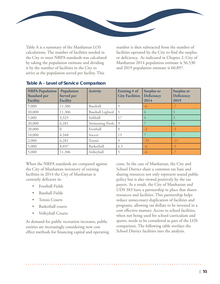

Table A is a summary of the Manhattan LOS calculations. The number of facilities needed in the City to meet NRPA standards was calculated by taking the population estimate and dividing it by the number of facilities in the City to arrive at the population served per facility. This

number is then subtracted from the number of facilities operated by the City to find the surplus or deficiency. As indicated in Chapter 2, City of Manhattan 2014 population estimate is 56,530 and 2019 population estimate is 60,897.

| <b>NRPA Population</b><br><b>Standard per</b><br><b>Facility</b> | Population<br><b>Served</b> per<br><b>Facility</b> | <b>Activity</b>         | Existing # of<br><b>City Facilities</b> | <b>Surplus or</b><br>Deficiency<br>2014 | <b>Surplus or</b><br>Deficiency<br>2019 |
|------------------------------------------------------------------|----------------------------------------------------|-------------------------|-----------------------------------------|-----------------------------------------|-----------------------------------------|
| 5,000                                                            | 11,306                                             | Baseball                |                                         | $-6$                                    | $-7$                                    |
| 30,000                                                           | 11,306                                             | <b>Baseball Lighted</b> |                                         | 4                                       |                                         |
| 5,000                                                            | 3,325                                              | Softball                | 17                                      | 4                                       |                                         |
| 20,000                                                           | 6,281                                              | Swimming Pools          | $\overline{Q}$                          |                                         | $\circ$                                 |
| 20,000                                                           |                                                    | Football                |                                         | $-2$                                    | $-3$                                    |
| 10,000                                                           | 4,348                                              | Soccer                  | 13                                      |                                         |                                         |
| 2,000                                                            | 6,281                                              | Tennis                  | 9                                       | $-19$                                   | $-21$                                   |
| 5,000                                                            | 8,697                                              | Basketball              | 6.5                                     | $-4$                                    | $-5$                                    |
| 5,000                                                            | 11,306                                             | Volleyball              |                                         | $-6$                                    | $-7$                                    |

#### **Table A - Level of Service Comparison**

When the NRPA standards are compared against the City of Manhattan inventory of existing facilities in 2014 the City of Manhattan is currently deficient in:

- Football Fields
- Baseball Fields
- Tennis Courts
- Basketball courts
- Volleyball Courts

As demand for public recreation increases, public entities are increasingly considering new cost effect methods for financing capital and operating costs. In the case of Manhattan, the City and School District share a common tax base and sharing resources not only represent sound public policy but is also viewed positively by the tax payers. As a result, the City of Manhattan and UDS 383 have a partnership in place that shares resources and facilities. This partnership helps reduce unnecessary duplication of facilities and programs, allowing tax dollars to be invested in a cost effective manner. Access to school facilities, when not being used for school curriculum and sports, needs to be considered as part of the LOS comparison. The following table overlays the School District facilities into the analysis.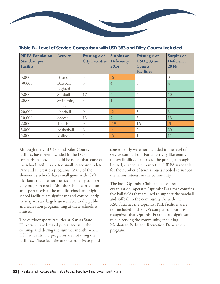

| <b>NRPA Population</b><br><b>Standard per</b><br><b>Facility</b> | <b>Activity</b>     | Existing # of<br><b>City Facilities</b> | <b>Surplus or</b><br>Deficiency<br>2014 | Existing # of<br><b>USD 383 and</b><br>County<br><b>Facilities</b> | <b>Surplus or</b><br><b>Deficiency</b><br>2014 |
|------------------------------------------------------------------|---------------------|-----------------------------------------|-----------------------------------------|--------------------------------------------------------------------|------------------------------------------------|
| 5,000                                                            | Baseball            | 5                                       | $-6$                                    | 6                                                                  | $\overline{0}$                                 |
| 30,000                                                           | Baseball<br>Lighted | 5                                       | 4                                       | $\Omega$                                                           | 4                                              |
| 5,000                                                            | Softball            | 17                                      | 4                                       | 6                                                                  | 10                                             |
| 20,000                                                           | Swimming<br>Pools   | 3                                       |                                         | $\left($                                                           | 0                                              |
| 20,000                                                           | Football            | $\overline{0}$                          | $-2$                                    | 5                                                                  | $\mathfrak{Z}$                                 |
| 10,000                                                           | Soccer              | 13                                      |                                         | 6                                                                  | 13                                             |
| 2,000                                                            | Tennis              | 9                                       | $-19$                                   | 16                                                                 | $-3$                                           |
| 5,000                                                            | Basketball          | 6                                       | $-4$                                    | 24                                                                 | 20                                             |
| 5,000                                                            | Volleyball          | 5                                       | $-6$                                    | 14                                                                 | 11                                             |

**Table B – Level of Service Comparison with USD 383 and Riley County Included**

Although the USD 383 and Riley County facilities have been included in the LOS comparison above it should be noted that some of the school facilities are too small to accommodate Park and Recreation programs. Many of the elementary schools have small gyms with CVT tile floors that are not the size or quality to meet City program needs. Also the school curriculum and sport needs at the middle school and high school facilities are significant and consequently these spaces are largely unavailable to the public and recreation programming at these schools is limited.

The outdoor sports facilities at Kansas State University have limited public access in the evenings and during the summer months when KSU students and programs are not using the facilities. These facilities are owned privately and consequently were not included in the level of service comparison. For an activity like tennis the availability of courts to the public, although limited, is adequate to meet the NRPA standards for the number of tennis courts needed to support the tennis interest in the community.

The local Optimist Club, a not-for-profit organization, operates Optimist Park that contains five ball fields that are used to support the baseball and softball in the community. As with the KSU facilities the Optimist Park facilities were not included in the LOS comparison but it is recognized that Optimist Park plays a significant role in serving the community, including Manhattan Parks and Recreation Department programs.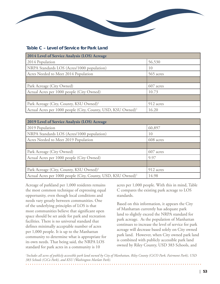### **Table C – Level of Service for Park Land**

| 2014 Level of Service Analysis (LOS) Acreage                             |           |  |  |  |
|--------------------------------------------------------------------------|-----------|--|--|--|
| 2014 Population                                                          | 56,530    |  |  |  |
| NRPA Standards LOS (Acres/1000 population)                               | 10        |  |  |  |
| Acres Needed to Meet 2014 Population                                     | 565 acres |  |  |  |
|                                                                          |           |  |  |  |
| Park Acreage (City Owned)                                                | 607 acres |  |  |  |
| Actual Acres per 1000 people (City Owned)                                | 10.73     |  |  |  |
|                                                                          |           |  |  |  |
| Park Acreage (City, County, KSU Owned) <sup>1</sup>                      | 912 acres |  |  |  |
| Actual Acres per 1000 people (City, County, USD, KSU Owned) <sup>1</sup> | 16.20     |  |  |  |

| 2019 Level of Service Analysis (LOS) Acreage                             |           |  |  |  |
|--------------------------------------------------------------------------|-----------|--|--|--|
| 2019 Population                                                          | 60,897    |  |  |  |
| NRPA Standards LOS (Acres/1000 population)                               | 10        |  |  |  |
| Acres Needed to Meet 2019 Population                                     | 608 acres |  |  |  |
|                                                                          |           |  |  |  |
| Park Acreage (City Owned)                                                | 607 acres |  |  |  |
| Actual Acres per 1000 people (City Owned)                                | 9.97      |  |  |  |
|                                                                          |           |  |  |  |
| Park Acreage (City, County, KSU Owned) <sup>1</sup>                      | 912 acres |  |  |  |
| Actual Acres per 1000 people (City, County, USD, KSU Owned) <sup>1</sup> | 14.98     |  |  |  |

Acreage of parkland per 1,000 residents remains the most common technique of expressing equal opportunity, even though local conditions and needs vary greatly between communities. One of the underlying principles of LOS is that most communities believe that significant open space should be set aside for park and recreation facilities. There is no universal standard that defines minimally acceptable number of acres per 1,000 people. It is up to the Manhattan community to determine what is appropriate for its own needs. That being said, the NRPA LOS standard for park acres in a community is 10

acres per 1,000 people. With this in mind, Table C compares the existing park acreage to LOS standards.

Based on this information, it appears the City of Manhattan currently has adequate park land to slightly exceed the NRPA standard for park acreage. As the population of Manhattan continues to increase the level of service for park acreage will decrease based solely on City owned park land. However, when City owned park land is combined with publicly accessible park land owned by Riley County, USD 383 Schools, and

*1 Includes all acres of publicly accessible park land owned by City of Manhattan, Riley County (CiCO Park, Fairmont Park), USD 383 Schools (CiCo Park), and KSU (Washington Marlatt Park).*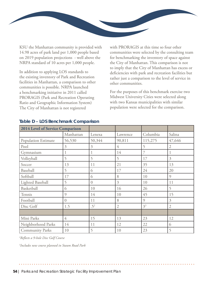

KSU the Manhattan community is provided with 14.98 acres of park land per 1,000 people based on 2019 population projections - well above the NRPA standard of 10 acres per 1,000 people.

In addition to applying LOS standards to the existing inventory of Park and Recreation facilities in Manhattan, a comparison to other communities is possible. NRPA launched a benchmarking initiative in 2011 called PRORAGIS (Park and Recreation Operating Ratio and Geographic Information System) The City of Manhattan is not registered

with PRORAGIS at this time so four other communities were selected by the consulting team for benchmarking the inventory of space against the City of Manhattan. This comparison is not to imply that the City of Manhattan has excess or deficiencies with park and recreation facilities but rather just a comparison to the level of service in other communities.

For the purposes of this benchmark exercise two Midwest University Cities were selected along with two Kansas municipalities with similar population were selected for the comparison.

| 2014 Level of Service Comparison |           |                |                |                |                |
|----------------------------------|-----------|----------------|----------------|----------------|----------------|
|                                  | Manhattan | Lenexa         | Lawrence       | Columbia       | Salina         |
| Population Estimate              | 56,530    | 50,344         | 90,811         | 115,275        | 47,646         |
| Pool                             | 3         | 3              | 4              | 5              | $\mathfrak{2}$ |
| Gymnasium                        |           |                | 14             |                |                |
| Volleyball                       | 5         | 5              | 5              | 17             | $\mathfrak{Z}$ |
| Soccer                           | 13        | 11             | 21             | 35             | 13             |
| Baseball                         | 5         | 6              | 17             | 24             | 20             |
| Softball                         | 17        | 6              | 8              | 10             | $\mathcal{O}$  |
| Lighted Baseball                 | 5         | $\overline{0}$ | 3              | 10             | 11             |
| Basketball                       | 6         | 10             | 16             | 26             | 5              |
| Tennis                           | 9         | 14             | 10             | 45             | 15             |
| Football                         | $\Omega$  | 11             | 8              | $\mathcal{O}$  | $\mathfrak{Z}$ |
| Disc Golf                        | 1.5       | $.5^{2}$       | $\mathfrak{2}$ | 3 <sup>3</sup> | $\mathfrak{2}$ |
|                                  |           |                |                |                |                |
| Mini Parks                       | 4         | 15             | 13             | 23             | 12             |
| Neighborhood Parks               | 14        | 11             | 12             | 22             | 6              |
| <b>Community Parks</b>           | 10        | 5              | 10             | 23             | 5              |

#### **Table D – LOS Benchmark Comparison**

*2 Reflects a 9-hole Disc Golf Course*

*3 Includes new course planned in Staum Road Park*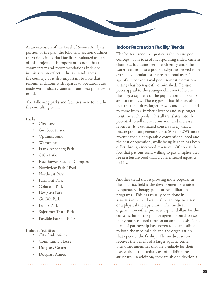As an extension of the Level of Service Analysis portion of the plan the following section outlines the various individual facilities evaluated as part of this project. It is important to note that the commentary and recommendations included in this section reflect industry trends across the country. It is also important to note that recommendations with regards to operations are made with industry standards and best practices in mind.

The following parks and facilities were toured by the consulting team:

#### **Parks**

- City Park
- Girl Scout Park
- Optimist Park
- Warner Park
- Frank Anneberg Park
- CiCo Park
- Eisenhower Baseball Complex
- Northview Park / Pool
- Northeast Park
- Fairmont Park
- Colorado Park
- Douglass Park
- Griffith Park
- Long's Park
- Sojourner Truth Park
- Possible Park on K-18

#### **Indoor Facilities**

- City Auditorium
- Community House
- Douglass Center
- Douglass Annex

#### **Indoor Recreation Facility Trends**

The hottest trend in aquatics is the leisure pool concept. This idea of incorporating slides, current channels, fountains, zero depth entry and other water features into a pool's design has proved to be extremely popular for the recreational user. The age of the conventional pool in most recreational settings has been greatly diminished. Leisure pools appeal to the younger children (who are the largest segment of the population that swim) and to families. These types of facilities are able to attract and draw larger crowds and people tend to come from a further distance and stay longer to utilize such pools. This all translates into the potential to sell more admissions and increase revenues. It is estimated conservatively that a leisure pool can generate up to 20% to 25% more revenue than a comparable conventional pool and the cost of operation, while being higher, has been offset through increased revenues. Of note is the fact that patrons seem willing to pay a higher user fee at a leisure pool than a conventional aquatics facility.

Another trend that is growing more popular in the aquatic's field is the development of a raised temperature therapy pool for rehabilitation programs. This has usually been done in association with a local health care organization or a physical therapy clinic. The medical organization either provides capital dollars for the construction of the pool or agrees to purchase so many hours of pool time on an annual basis. This form of partnership has proven to be appealing to both the medical side and the organization that operates the facility. The medical sector receives the benefit of a larger aquatic center, plus other amenities that are available for their use, without the capital cost of building the structure. In addition, they are able to develop a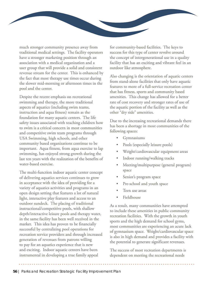

much stronger community presence away from traditional medical settings. The facility operators have a stronger marketing position through an association with a medical organization and a user group that will provide a solid and consistent revenue stream for the center. This is enhanced by the fact that most therapy use times occur during the slower mid-morning or afternoon times in the pool and the center.

Despite the recent emphasis on recreational swimming and therapy, the more traditional aspects of aquatics (including swim teams, instruction and aqua fitness) remain as the foundation for many aquatic centers. The life safety issues associated with teaching children how to swim is a critical concern in most communities and competitive swim team programs through USA Swimming, high schools, and other community based organizations continue to be important. Aqua fitness, from aqua exercise to lap swimming, has enjoyed strong growth during the last ten years with the realization of the benefits of water-based exercise.

The multi-function indoor aquatic center concept of delivering aquatics services continues to grow in acceptance with the idea of providing for a variety of aquatics activities and programs in an open design setting that features a lot of natural light, interactive play features and access to an outdoor sundeck. The placing of traditional instructional/competitive pools, with shallow depth/interactive leisure pools and therapy water, in the same facility has been well received in the market. This idea has proven to be financially successful by centralizing pool operations for recreation service providers and through increased generation of revenues from patrons willing to pay for an aquatics experience that is new and exciting. Indoor aquatic centers have been instrumental in developing a true family appeal

for community-based facilities. The keys to success for this type of center revolve around the concept of intergenerational use in a quality facility that has an exciting and vibrant feel in an outdoor like atmosphere.

Also changing is the orientation of aquatic centers from stand-alone facilities that only have aquatic features to more of a full-service recreation center that has fitness, sports and community based amenities. This change has allowed for a better rate of cost recovery and stronger rates of use of the aquatic portion of the facility as well as the other "dry side" amenities.

Due to the increasing recreational demands there has been a shortage in most communities of the following spaces:

- **Gymnasiums**
- Pools (especially leisure pools)
- Weight/cardiovascular equipment areas
- Indoor running/walking tracks
- Meeting/multipurpose (general program) space
- Senior's program space
- Pre-school and youth space
- Teen use areas
- **Fieldhouse**

As a result, many communities have attempted to include these amenities in public community recreation facilities. With the growth in youth sports and the high demand for school gyms, most communities are experiencing an acute lack of gymnasium space. Weight/cardiovascular space is also in high demand and provides a facility with the potential to generate significant revenues.

The success of most recreation departments is dependent on meeting the recreational needs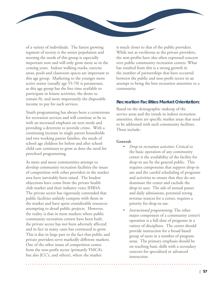

of a variety of individuals. The fastest growing segment of society is the senior population and meeting the needs of this group is especially important now and will only grow more so in the coming years. Indoor walking tracks, exercise areas, pools and classroom spaces are important to this age group. Marketing to the younger more active senior (usually age 55-70) is paramount, as this age group has the free time available to participate in leisure activities, the desire to remain fit, and more importantly the disposable income to pay for such services.

Youth programming has always been a cornerstone for recreation services and will continue to be so with an increased emphasis on teen needs and providing a deterrent to juvenile crime. With a continuing increase in single parent households and two working parent families, the needs of school age children for before and after school child care continues to grow as does the need for preschool programming.

As more and more communities attempt to develop community recreation facilities the issues of competition with other providers in the market area have inevitably been raised. The loudest objections have come from the private health club market and their industry voice IHRSA. The private sector has vigorously contended that public facilities unfairly compete with them in the market and have spent considerable resources attempting to derail public projects. However, the reality is that in most markets where public community recreation centers have been built, the private sector has not been adversely affected and in fact in many cases has continued to grow. This is due in large part to the fact that public and private providers serve markedly different markets. One of the other issues of competition comes from the non-profit sector (primarily YMCA's but also JCC's, and others), where the market

is much closer to that of the public providers. While not as vociferous as the private providers, the non-profits have also often expressed concern over public community recreation centers. What has resulted from this is a strong growth in the number of partnerships that have occurred between the public and non-profit sector in an attempt to bring the best recreation amenities to a community.

#### **Recreation Facilities Market Orientation:**

Based on the demographic makeup of the service areas and the trends in indoor recreation amenities, there are specific market areas that need to be addressed with such community facilities. These include:

#### **General:**

- *• Drop-in recreation activities*: Critical to the basic operation of any community center is the availability of the facility for drop-in use by the general public. This requires components that support drop-in use and the careful scheduling of programs and activities to ensure that they do not dominate the center and exclude the drop-in user. The sale of annual passes and daily admissions, potential strong revenue sources for a center, requires a priority for drop-in use.
- *• Instructional programming*: The other major component of a community center's operation is a full slate of programs in a variety of disciplines. The center should provide instruction for a broad based group of users in a number of program areas. The primary emphasis should be on teaching basic skills with a secondary concern for specialized or advanced instruction.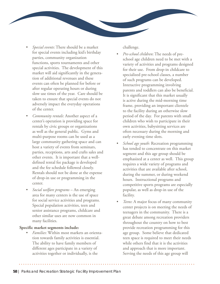

- *• Special events*: There should be a market for special events including kid's birthday parties, community organization functions, sports tournaments and other special activities. The development of this market will aid significantly in the generation of additional revenues and these events can often be planned for before or after regular operating hours or during slow use times of the year. Care should be taken to ensure that special events do not adversely impact the everyday operations of the center.
- *• Community rentals*: Another aspect of a center's operation is providing space for rentals by civic groups or organizations as well as the general public. Gyms and multi-purpose rooms can be used as a large community gathering space and can host a variety of events from seminars, parties, receptions, arts and crafts sales and other events. It is important that a welldefined rental fee package is developed and the fee schedule followed closely. Rentals should not be done at the expense of drop-in use or programming in the center.
- *• Social welfare programs* An emerging area for many centers is the use of space for social service activities and programs. Special population activities, teen and senior assistance programs, childcare and other similar uses are now common in many facilities.

#### **Specific market segments include:**

*• Families*: Within most markets an orientation towards family activities is essential. The ability to have family members of different ages participate in a variety of activities together or individually, is the

challenge.

- *• Pre-school children*: The needs of preschool age children need to be met with a variety of activities and programs designed for their use. From drop-in childcare to specialized pre-school classes, a number of such programs can be developed. Interactive programming involving parents and toddlers can also be beneficial. It is significant that this market usually is active during the mid-morning time frame, providing an important clientele to the facility during an otherwise slow period of the day. For parents with small children who wish to participate in their own activities, babysitting services are often necessary during the morning and early evening time slots.
- *• School age youth:* Recreation programming has tended to concentrate on this market segment and this age group should be emphasized at a center as well. This group requires a wide variety of programs and activities that are available after school, during the summer, or during weekend hours. Instructional programs and competitive sports programs are especially popular, as well as drop-in use of the facility.
- *• Teens*: A major focus of many community center projects is on meeting the needs of teenagers in the community. There is a great debate among recreation providers throughout the country on how to best provide recreation programming for this age group. Some believe that dedicated teen space is required to meet their needs while others find that it is the activities and approach that is more important. Serving the needs of this age group will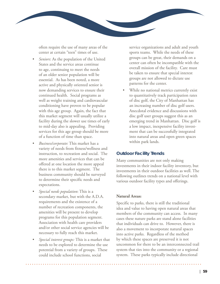

often require the use of many areas of the center at certain "teen" times of use.

- *• Seniors*: As the population of the United States and the service areas continue to age, continuing to meet the needs of an older senior population will be essential. As has been noted, a more active and physically oriented senior is now demanding services to ensure their continued health. Social programs as well as weight training and cardiovascular conditioning have proven to be popular with this age group. Again, the fact that this market segment will usually utilize a facility during the slower use times of early to mid-day also is appealing. Providing services for this age group should be more of a function of time than space.
- *• Business/corporate*: This market has a variety of needs from fitness/wellness and instruction, to recreation and social. The more amenities and services that can be offered at one location the more appeal there is to this market segment. The business community should be surveyed to determine their specific needs and expectations.
- *• Special needs population*: This is a secondary market, but with the A.D.A. requirements and the existence of a number of recreation components, the amenities will be present to develop programs for this population segment. Association with health care providers and/or other social service agencies will be necessary to fully reach this market.
- *• Special interest groups:* This is a market that needs to be explored to determine the use potential from a variety of groups. These could include school functions, social

service organizations and adult and youth sports teams. While the needs of these groups can be great, their demands on a center can often be incompatible with the overall mission of the facility. Care must be taken to ensure that special interest groups are not allowed to dictate use patterns for the center.

While no national metrics currently exist to quantitatively track participation rates of disc golf, the City of Manhattan has an increasing number of disc golf users. Anecdotal evidence and discussions with disc golf user groups suggest this as an emerging trend in Manhattan. Disc golf is a low impact, inexpensive facility investment that can be successfully integrated into natural areas and open green spaces within park lands.

#### **Outdoor Facility Trends**

Many communities are not only making investments in their indoor facility inventory, but investments in their outdoor facilities as well. The following outlines trends on a national level with various outdoor facility types and offerings.

#### **Natural Areas:**

Specific to parks, there is still the traditional idea and value to having open natural areas that members of the community can access. In many cases these nature parks are stand alone facilities that individuals can drive to. However, there is also a movement to incorporate natural spaces into active parks. Regardless of the method by which these spaces are preserved it is not uncommon for there to be an interconnected trail system that ties into the community or a regional system. These parks typically include directional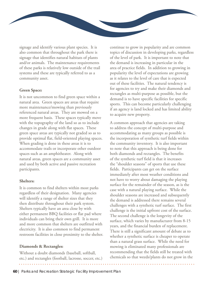signage and identify various plant species. It is also common that throughout the park there is signage that identifies natural habitats of plants and/or animals. The maintenance requirements of these parks is relatively low outside of the trail systems and these are typically referred to as a community asset.

#### **Green Space:**

It is not uncommon to find green space within a natural area. Green spaces are areas that require more maintenance/mowing than previously referenced natural areas. They are mowed on a more frequent basis. These spaces typically move with the topography of the land so as to include changes in grade along with flat spaces. These green space areas are typically not graded so as to provide optimal flat, field-oriented playing spaces. When grading is done in these areas it is to accommodate trails or incorporate other outdoor spaces such as an amphitheater. Along with natural areas, green spaces are a community asset and used by both active and passive recreation participants.

#### **Shelters:**

It is common to find shelters within most parks regardless of their designation. Many agencies will identify a range of shelter sizes that they then distribute throughout their park system. Shelters typically have an area close by with either permanent BBQ facilities or flat pad where individuals can bring their own grill. It is more and more common that shelters are outfitted with electricity. It is also common to find permanent restroom facilities in close proximity to the shelter.

#### **Diamonds & Rectangles:**

Without a doubt diamonds (baseball, softball, etc.) and rectangles (football, lacrosse, soccer, etc.) continue to grow in popularity and are common topics of discussion in developing parks, regardless of the level of park. It is important to note that the demand is increasing in particular in the area of practice fields. In addition to growing in popularity the level of expectations are growing as it relates to the level of care that is expected out of these facilities. The natural tendency is for agencies to try and make their diamonds and rectangles as multi-purpose as possible, but the demand is to have specific facilities for specific sports. This can become particularly challenging if an agency is land locked and has limited ability to acquire new property.

A common approach that agencies are taking to address the concept of multi-purpose and accommodating as many groups as possible is the incorporation of synthetic turf fields within the community inventory. It is also important to note that this approach is being done for both diamonds and rectangles. The benefits of the synthetic turf field is that it increases the "shoulder seasons" of sports that use these fields. Participants can get on the surface immediately after most weather conditions and not have to worry about damaging the playing surface for the remainder of the season, as is the case with a natural playing surface. While the shoulder seasons are increased and subsequently the demand is addressed there remains several challenges with a synthetic turf surface. The first challenge is the initial upfront cost of the surface. The second challenge is the longevity of the surface, which varies by manufacturer from 8-15 years, and the financial burden of replacement. There is still a significant amount of debate as to whether a synthetic surface is cheaper to operate than a natural grass surface. While the need for mowing is eliminated many professionals are recommending that the fields still be treated with chemicals so that weeds/plants do not grow in the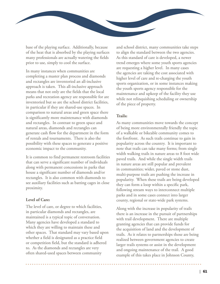

base of the playing surface. Additionally, because of the heat that is absorbed by the playing surfaces many professionals are actually watering the fields prior to use, simply to cool the surface.

In many instances when communities are completing a master plan process and diamonds and rectangles are inventoried an all-inclusive approach is taken. This all-inclusive approach means that not only are the fields that the local parks and recreation agency are responsible for are inventoried but so are the school district facilities, in particular if they are shared-use spaces. In comparison to natural areas and green space there is significantly more maintenance with diamonds and rectangles. In contrast to green space and natural areas, diamonds and rectangles can generate cash flow for the department in the form of rentals and tournaments. There is also the possibility with these spaces to generate a positive economic impact to the community.

It is common to find permanent restroom facilities that can serve a significant number of individuals along with permanent concessions in parks that house a significant number of diamonds and/or rectangles. It is also common with diamonds to see auxiliary facilities such as batting cages in close proximity.

#### **Level of Care:**

The level of care, or degree to which facilities, in particular diamonds and rectangles, are maintained is a typical topic of conversation. Many agencies have developed a standard to which they are willing to maintain these and other spaces. That standard may vary based upon whether a field is designated as a practice field or competition field, but the standard is adhered to. As the diamonds and rectangles are very often shared-used spaces between community

and school district, many communities take steps to align the standard between the two agencies. As this standard of care is developed, a newer trend emerges where some youth sports agencies are requesting a higher level. In many cases the agencies are taking the cost associated with higher level of care and re-charging the youth sports organization, or in some instances making the youth sports agency responsible for the maintenance and upkeep of the facility they use while not relinquishing scheduling or ownership of the piece of property.

#### **Trails:**

As many communities move towards the concept of being more environmentally friendly the topic of a walkable or bikeable community comes to the forefront. As such trails continue to gain in popularity across the country. It is important to note that trails can take many forms; from single width walking trails in nature areas to 8 foot wide paved trails. And while the single width trails in nature areas are still popular and prevalent in communities; wider, paved or stone dust, multi-purpose trails are pushing the increase in popularity. When these trails are being developed they can form a loop within a specific park, following stream ways to interconnect multiple parks and in some cases connect into larger county, regional or state-wide park systems.

Along with the increase in popularity of trails there is an increase in the pursuit of partnerships with trail development. There are multiple granting agencies that can provide funds for the acquisition of land and the development of trails. As it relates to partnerships those are being realized between government agencies to create larger trails systems or assist in the development and ongoing maintenance of the trail. A good example of this takes place in Johnson County,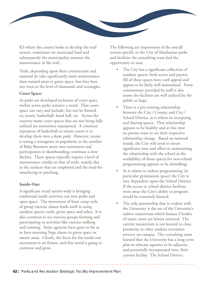

KS where the county looks to develop the trail system, sometimes on municipal land and subsequently the municipality assumes the maintenance of the trail.

Trails, depending upon their construction and material do take significantly more maintenance than natural areas or green space, but they have not risen to the level of diamonds and rectangles.

#### **Court Space:**

As parks are developed inclusion of court space within active parks remains a trend. That court space can vary and include, but not be limited to; tennis, basketball, hand ball, etc. Across the country many court spaces that are not being fully utilized are sometimes repurposed. A common repurpose of basketball or tennis courts is to develop them into a skate park. However, tennis is seeing a resurgence in popularity as the number of Baby Boomers move into retirement and participation in skateboarding continues a slow decline. These spaces typically require a level of maintenance similar to that of trails, mainly due to the surfaces that are employed and the need for resurfacing or patching.

#### **Inside-Out:**

A significant trend nation-wide is bringing traditional inside activities out into parks and open space. The movement of boot camp style of group exercise classes lends itself to using outdoor spaces; trails, green space and other. It is also common to see exercise groups forming and participating in activities like exercise walking and running. Some agencies have gone so far as to have morning Yoga classes in green space or nature areas. Clearly, the focus for the inside-out movement is on fitness, and that trend is going to continue and grow.

The following are impressions of the overall system specific to the City of Manhattan parks and facilities the consulting team had the opportunity to tour.

- The City has a significant collection of outdoor spaces, both active and passive. All of these spaces have curb appeal and appear to be fairly well maintained. From commentary provided by staff it also seems the facilities are well utilized by the public at large.
- There is a pre-existing relationship between the City / County and City / School District, as it relates to occupying and sharing spaces. That relationship appears to be healthy and at this time no parties want to see their respective relationship change. Based on national trends, the City will need to invest significant time and effort in maintaining the relationship with the school as the availability of those spaces for non-school programming appears to be dwindling.
- As it relates to indoor programming (in particular gymnasium space) the City is very dependent upon the School District. If the access to school district facilities went away the City's ability to program would be extremely limited.
- The only partnership that is evident with the University is the use of the University's indoor natatorium which houses 3 bodies of water; none are leisure oriented. The current natatorium is not located in close proximity to other student recreation services on campus. The consulting team learned that the University has a long term plan to relocate aquatics to be adjacent, and potentially incorporated into, their current facility. The School District